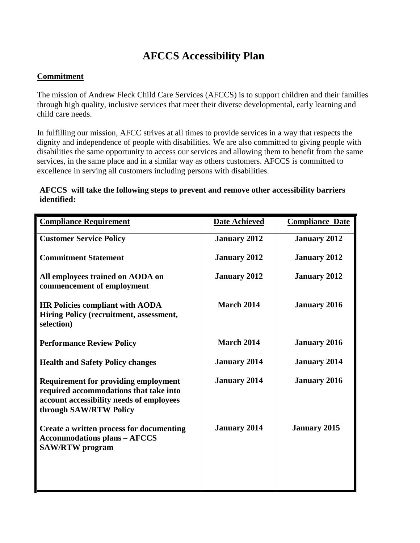## **AFCCS Accessibility Plan**

## **Commitment**

The mission of Andrew Fleck Child Care Services (AFCCS) is to support children and their families through high quality, inclusive services that meet their diverse developmental, early learning and child care needs.

In fulfilling our mission, AFCC strives at all times to provide services in a way that respects the dignity and independence of people with disabilities. We are also committed to giving people with disabilities the same opportunity to access our services and allowing them to benefit from the same services, in the same place and in a similar way as others customers. AFCCS is committed to excellence in serving all customers including persons with disabilities.

## **AFCCS will take the following steps to prevent and remove other accessibility barriers identified:**

| <b>Compliance Requirement</b>                                                                                                                               | <b>Date Achieved</b> | <b>Compliance Date</b> |
|-------------------------------------------------------------------------------------------------------------------------------------------------------------|----------------------|------------------------|
| <b>Customer Service Policy</b>                                                                                                                              | <b>January 2012</b>  | <b>January 2012</b>    |
| <b>Commitment Statement</b>                                                                                                                                 | <b>January 2012</b>  | <b>January 2012</b>    |
| All employees trained on AODA on<br>commencement of employment                                                                                              | <b>January 2012</b>  | <b>January 2012</b>    |
| <b>HR Policies compliant with AODA</b><br>Hiring Policy (recruitment, assessment,<br>selection)                                                             | <b>March 2014</b>    | <b>January 2016</b>    |
| <b>Performance Review Policy</b>                                                                                                                            | <b>March 2014</b>    | <b>January 2016</b>    |
| <b>Health and Safety Policy changes</b>                                                                                                                     | <b>January 2014</b>  | <b>January 2014</b>    |
| <b>Requirement for providing employment</b><br>required accommodations that take into<br>account accessibility needs of employees<br>through SAW/RTW Policy | <b>January 2014</b>  | <b>January 2016</b>    |
| Create a written process for documenting<br><b>Accommodations plans - AFCCS</b><br><b>SAW/RTW</b> program                                                   | <b>January 2014</b>  | <b>January 2015</b>    |
|                                                                                                                                                             |                      |                        |